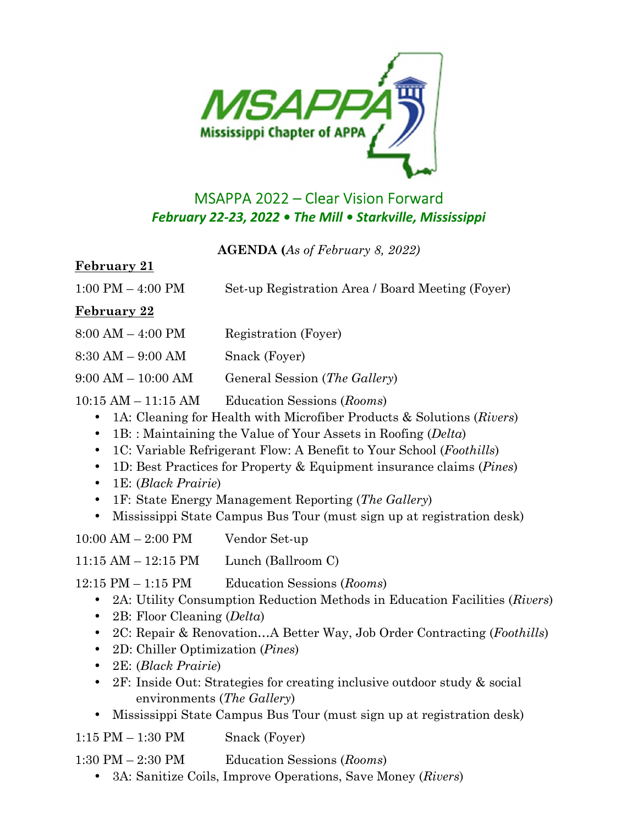

# MSAPPA 2022 – Clear Vision Forward *February 22-23, 2022 • The Mill • Starkville, Mississippi*

**AGENDA (***As of February 8, 2022)* 

#### **February 21**

| $1:00$ PM $-$ 4:00 PM | Set-up Registration Area / Board Meeting (Foyer) |  |
|-----------------------|--------------------------------------------------|--|
|                       |                                                  |  |

### **February 22**

| $8:00 AM - 4:00 PM$ | Registration (Foyer) |
|---------------------|----------------------|
|                     |                      |

8:30 AM – 9:00 AM Snack (Foyer)

9:00 AM – 10:00 AM General Session (*The Gallery*)

- 10:15 AM 11:15 AM Education Sessions (*Rooms*)
	- 1A: Cleaning for Health with Microfiber Products & Solutions (*Rivers*)
	- 1B: : Maintaining the Value of Your Assets in Roofing (*Delta*)
	- 1C: Variable Refrigerant Flow: A Benefit to Your School (*Foothills*)
	- 1D: Best Practices for Property & Equipment insurance claims (*Pines*)
	- 1E: (*Black Prairie*)
	- 1F: State Energy Management Reporting (*The Gallery*)
	- Mississippi State Campus Bus Tour (must sign up at registration desk)

10:00 AM – 2:00 PM Vendor Set-up

11:15 AM – 12:15 PM Lunch (Ballroom C)

12:15 PM – 1:15 PM Education Sessions (*Rooms*)

- 2A: Utility Consumption Reduction Methods in Education Facilities (*Rivers*)
- 2B: Floor Cleaning (*Delta*)
- 2C: Repair & Renovation…A Better Way, Job Order Contracting (*Foothills*)
- 2D: Chiller Optimization (*Pines*)
- 2E: (*Black Prairie*)
- 2F: Inside Out: Strategies for creating inclusive outdoor study & social environments (*The Gallery*)
- Mississippi State Campus Bus Tour (must sign up at registration desk)
- 1:15 PM 1:30 PM Snack (Foyer)

1:30 PM – 2:30 PM Education Sessions (*Rooms*)

• 3A: Sanitize Coils, Improve Operations, Save Money (*Rivers*)